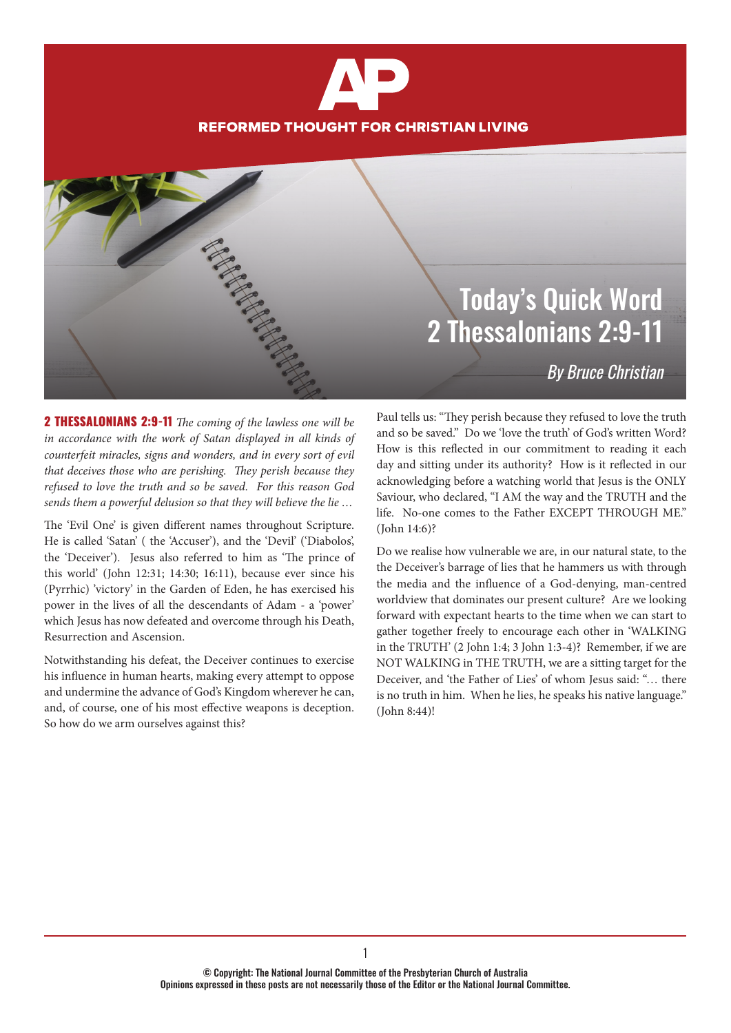# **REFORMED THOUGHT FOR CHRISTIAN LIVING**

#### Today's Quick Word 2 Thessalonians 2:9-11

By Bruce Christian

2 THESSALONIANS 2:9-11 *The coming of the lawless one will be in accordance with the work of Satan displayed in all kinds of counterfeit miracles, signs and wonders, and in every sort of evil that deceives those who are perishing. They perish because they refused to love the truth and so be saved. For this reason God sends them a powerful delusion so that they will believe the lie …*

The 'Evil One' is given different names throughout Scripture. He is called 'Satan' ( the 'Accuser'), and the 'Devil' ('Diabolos', the 'Deceiver'). Jesus also referred to him as 'The prince of this world' (John 12:31; 14:30; 16:11), because ever since his (Pyrrhic) 'victory' in the Garden of Eden, he has exercised his power in the lives of all the descendants of Adam - a 'power' which Jesus has now defeated and overcome through his Death, Resurrection and Ascension.

Notwithstanding his defeat, the Deceiver continues to exercise his influence in human hearts, making every attempt to oppose and undermine the advance of God's Kingdom wherever he can, and, of course, one of his most effective weapons is deception. So how do we arm ourselves against this?

Paul tells us: "They perish because they refused to love the truth and so be saved." Do we 'love the truth' of God's written Word? How is this reflected in our commitment to reading it each day and sitting under its authority? How is it reflected in our acknowledging before a watching world that Jesus is the ONLY Saviour, who declared, "I AM the way and the TRUTH and the life. No-one comes to the Father EXCEPT THROUGH ME." (John 14:6)?

Do we realise how vulnerable we are, in our natural state, to the the Deceiver's barrage of lies that he hammers us with through the media and the influence of a God-denying, man-centred worldview that dominates our present culture? Are we looking forward with expectant hearts to the time when we can start to gather together freely to encourage each other in 'WALKING in the TRUTH' (2 John 1:4; 3 John 1:3-4)? Remember, if we are NOT WALKING in THE TRUTH, we are a sitting target for the Deceiver, and 'the Father of Lies' of whom Jesus said: "… there is no truth in him. When he lies, he speaks his native language." (John 8:44)!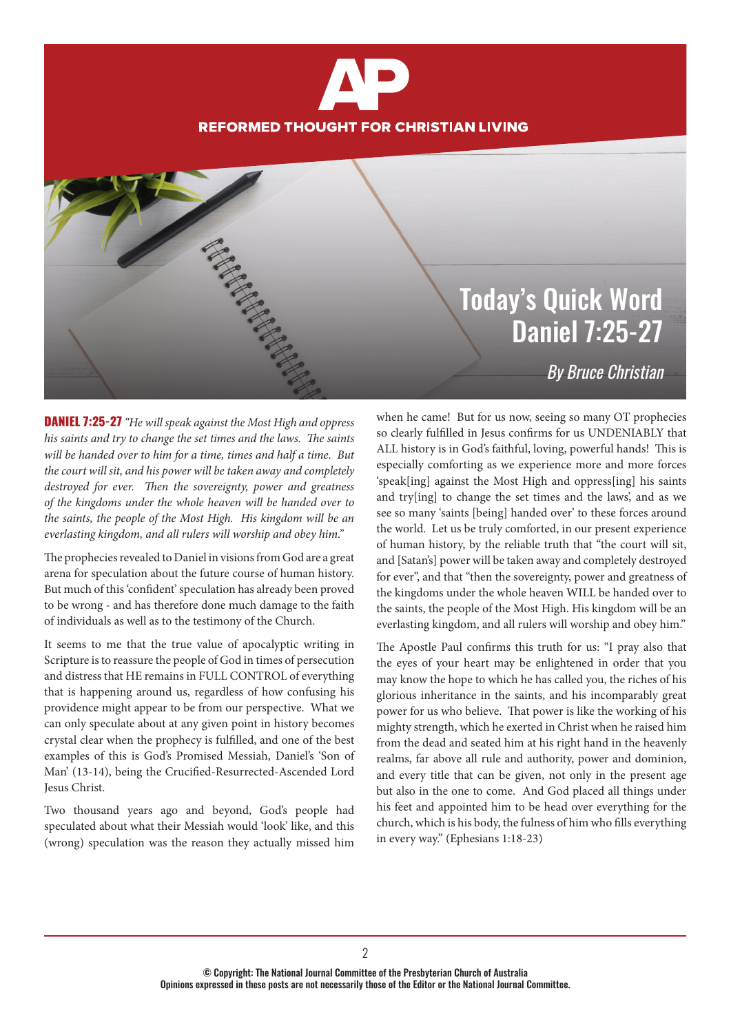## **REFORMED THOUGHT FOR CHRISTIAN LIVING**

### Today's Quick Word Daniel 7:25-27

By Bruce Christian

DANIEL 7:25-27 *"He will speak against the Most High and oppress his saints and try to change the set times and the laws. The saints will be handed over to him for a time, times and half a time. But the court will sit, and his power will be taken away and completely destroyed for ever. Then the sovereignty, power and greatness of the kingdoms under the whole heaven will be handed over to the saints, the people of the Most High. His kingdom will be an everlasting kingdom, and all rulers will worship and obey him."*

The prophecies revealed to Daniel in visions from God are a great arena for speculation about the future course of human history. But much of this 'confident' speculation has already been proved to be wrong - and has therefore done much damage to the faith of individuals as well as to the testimony of the Church.

It seems to me that the true value of apocalyptic writing in Scripture is to reassure the people of God in times of persecution and distress that HE remains in FULL CONTROL of everything that is happening around us, regardless of how confusing his providence might appear to be from our perspective. What we can only speculate about at any given point in history becomes crystal clear when the prophecy is fulfilled, and one of the best examples of this is God's Promised Messiah, Daniel's 'Son of Man' (13-14), being the Crucified-Resurrected-Ascended Lord Jesus Christ.

Two thousand years ago and beyond, God's people had speculated about what their Messiah would 'look' like, and this (wrong) speculation was the reason they actually missed him

when he came! But for us now, seeing so many OT prophecies so clearly fulfilled in Jesus confirms for us UNDENIABLY that ALL history is in God's faithful, loving, powerful hands! This is especially comforting as we experience more and more forces 'speak[ing] against the Most High and oppress[ing] his saints and try[ing] to change the set times and the laws', and as we see so many 'saints [being] handed over' to these forces around the world. Let us be truly comforted, in our present experience of human history, by the reliable truth that "the court will sit, and [Satan's] power will be taken away and completely destroyed for ever", and that "then the sovereignty, power and greatness of the kingdoms under the whole heaven WILL be handed over to the saints, the people of the Most High. His kingdom will be an everlasting kingdom, and all rulers will worship and obey him."

The Apostle Paul confirms this truth for us: "I pray also that the eyes of your heart may be enlightened in order that you may know the hope to which he has called you, the riches of his glorious inheritance in the saints, and his incomparably great power for us who believe. That power is like the working of his mighty strength, which he exerted in Christ when he raised him from the dead and seated him at his right hand in the heavenly realms, far above all rule and authority, power and dominion, and every title that can be given, not only in the present age but also in the one to come. And God placed all things under his feet and appointed him to be head over everything for the church, which is his body, the fulness of him who fills everything in every way." (Ephesians 1:18-23)